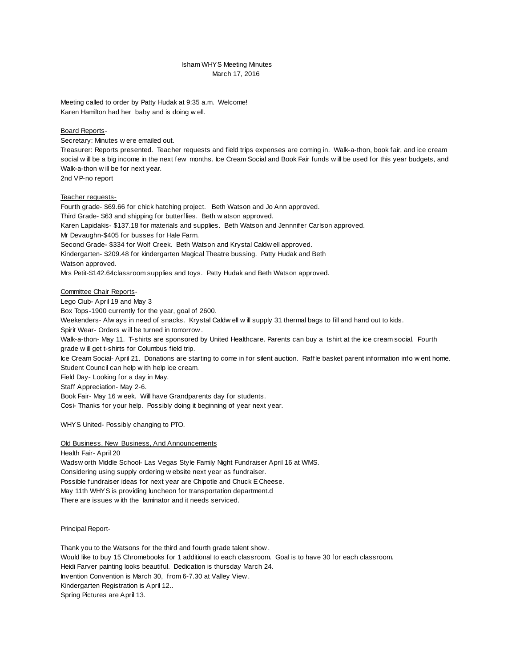# Isham WHYS Meeting Minutes March 17, 2016

Meeting called to order by Patty Hudak at 9:35 a.m. Welcome! Karen Hamilton had her baby and is doing w ell.

### Board Reports-

Secretary: Minutes w ere emailed out.

Treasurer: Reports presented. Teacher requests and field trips expenses are coming in. Walk-a-thon, book fair, and ice cream social w ill be a big income in the next few months. Ice Cream Social and Book Fair funds w ill be used for this year budgets, and Walk-a-thon w ill be for next year.

2nd VP-no report

### Teacher requests-

Fourth grade \$69.66 for chick hatching project. Beth Watson and Jo Ann approved. Third Grade- \$63 and shipping for butterflies. Beth w atson approved. Karen Lapidakis- \$137.18 for materials and supplies. Beth Watson and Jennnifer Carlson approved. Mr Devaughn-\$405 for busses for Hale Farm. Second Grade- \$334 for Wolf Creek. Beth Watson and Krystal Caldw ell approved. Kindergarten- \$209.48 for kindergarten Magical Theatre bussing. Patty Hudak and Beth Watson approved. Mrs Petit-\$142.64classroom supplies and toys. Patty Hudak and Beth Watson approved. Committee Chair Reports-

Lego Club- April 19 and May 3

Box Tops-1900 currently for the year, goal of 2600.

Weekenders- Alw ays in need of snacks. Krystal Caldw ell w ill supply 31 thermal bags to fill and hand out to kids.

Spirit Wear- Orders w ill be turned in tomorrow.

Walk-a-thon-May 11. T-shirts are sponsored by United Healthcare. Parents can buy a tshirt at the ice cream social. Fourth grade w ill get t-shirts for Columbus field trip.

Ice Cream Social April 21. Donations are starting to come in for silent auction. Raffle basket parent information info w ent home. Student Council can help w ith help ice cream.

Field Day-Looking for a day in May.

Staff Appreciation- May 2-6.

Book Fair- May 16 w eek. Will have Grandparents day for students.

Cosi- Thanks for your help. Possibly doing it beginning of year next year.

## WHYS United- Possibly changing to PTO.

Old Business, New Business, And Announcements

Health Fair- April 20 Wadsw orth Middle School- Las Vegas Style Family Night Fundraiser April 16 at WMS. Considering using supply ordering w ebsite next year as fundraiser. Possible fundraiser ideas for next year are Chipotle and Chuck E Cheese. May 11th WHYS is providing luncheon for transportation department.d There are issues w ith the laminator and it needs serviced.

#### Principal Report-

Thank you to the Watsons for the third and fourth grade talent show . Would like to buy 15 Chromebooks for 1 additional to each classroom. Goal is to have 30 for each classroom. Heidi Farver painting looks beautiful. Dedication is thursday March 24. Invention Convention is March 30, from 6-7.30 at Valley View. Kindergarten Registration is April 12.. Spring Pictures are April 13.